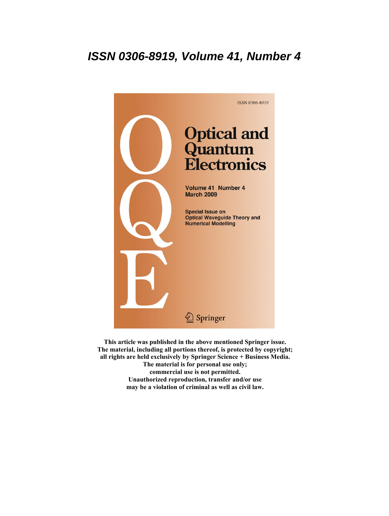# **ISSN 0306-8919, Volume 41, Number 4**



**This article was published in the above mentioned Springer issue. The material, including all portions thereof, is protected by copyright; all rights are held exclusively by Springer Science + Business Media. The material is for personal use only; commercial use is not permitted. Unauthorized reproduction, transfer and/or use may be a violation of criminal as well as civil law.**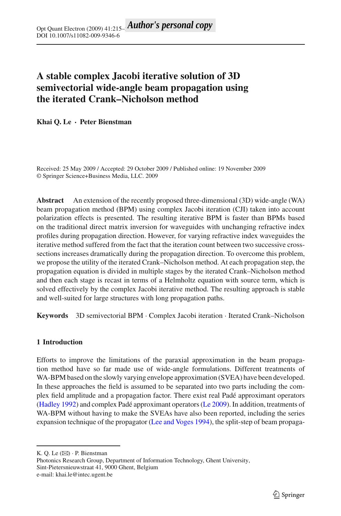# **A stable complex Jacobi iterative solution of 3D semivectorial wide-angle beam propagation using the iterated Crank–Nicholson method**

**Khai Q. Le · Peter Bienstman**

Received: 25 May 2009 / Accepted: 29 October 2009 / Published online: 19 November 2009 © Springer Science+Business Media, LLC. 2009

**Abstract** An extension of the recently proposed three-dimensional (3D) wide-angle (WA) beam propagation method (BPM) using complex Jacobi iteration (CJI) taken into account polarization effects is presented. The resulting iterative BPM is faster than BPMs based on the traditional direct matrix inversion for waveguides with unchanging refractive index profiles during propagation direction. However, for varying refractive index waveguides the iterative method suffered from the fact that the iteration count between two successive crosssections increases dramatically during the propagation direction. To overcome this problem, we propose the utility of the iterated Crank–Nicholson method. At each propagation step, the propagation equation is divided in multiple stages by the iterated Crank–Nicholson method and then each stage is recast in terms of a Helmholtz equation with source term, which is solved effectively by the complex Jacobi iterative method. The resulting approach is stable and well-suited for large structures with long propagation paths.

**Keywords** 3D semivectorial BPM · Complex Jacobi iteration · Iterated Crank–Nicholson

## **1 Introduction**

Efforts to improve the limitations of the paraxial approximation in the beam propagation method have so far made use of wide-angle formulations. Different treatments of WA-BPM based on the slowly varying envelope approximation (SVEA) have been developed. In these approaches the field is assumed to be separated into two parts including the complex field amplitude and a propagation factor. There exist real Padé approximant operators [\(Hadley 1992](#page-7-0)) and complex Padé approximant operators [\(Le 2009](#page-7-1)). In addition, treatments of WA-BPM without having to make the SVEAs have also been reported, including the series expansion technique of the propagator [\(Lee and Voges 1994](#page-7-2)), the split-step of beam propaga-

K. Q. Le  $(\boxtimes)$  · P. Bienstman

Photonics Research Group, Department of Information Technology, Ghent University, Sint-Pietersnieuwstraat 41, 9000 Ghent, Belgium e-mail: khai.le@intec.ugent.be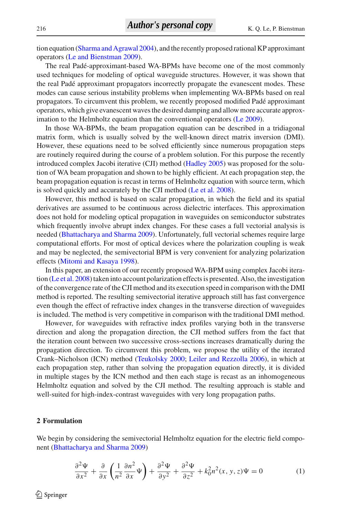tion equation [\(Sharma and Agrawal 2004\)](#page-7-3), and the recently proposed rational KP approximant operators [\(Le and Bienstman 2009](#page-7-4)).

The real Padé-approximant-based WA-BPMs have become one of the most commonly used techniques for modeling of optical waveguide structures. However, it was shown that the real Padé approximant propagators incorrectly propagate the evanescent modes. These modes can cause serious instability problems when implementing WA-BPMs based on real propagators. To circumvent this problem, we recently proposed modified Padé approximant operators, which give evanescent waves the desired damping and allow more accurate approx-imation to the Helmholtz equation than the conventional operators [\(Le 2009](#page-7-1)).

In those WA-BPMs, the beam propagation equation can be described in a tridiagonal matrix form, which is usually solved by the well-known direct matrix inversion (DMI). However, these equations need to be solved efficiently since numerous propagation steps are routinely required during the course of a problem solution. For this purpose the recently introduced complex Jacobi iterative (CJI) method [\(Hadley 2005\)](#page-7-5) was proposed for the solution of WA beam propagation and shown to be highly efficient. At each propagation step, the beam propagation equation is recast in terms of Helmholtz equation with source term, which is solved quickly and accurately by the CJI method [\(Le et al. 2008](#page-7-6)).

However, this method is based on scalar propagation, in which the field and its spatial derivatives are assumed to be continuous across dielectric interfaces. This approximation does not hold for modeling optical propagation in waveguides on semiconductor substrates which frequently involve abrupt index changes. For these cases a full vectorial analysis is needed [\(Bhattacharya and Sharma 2009\)](#page-7-7). Unfortunately, full vectorial schemes require large computational efforts. For most of optical devices where the polarization coupling is weak and may be neglected, the semivectorial BPM is very convenient for analyzing polarization effects [\(Mitomi and Kasaya 1998\)](#page-7-8).

In this paper, an extension of our recently proposed WA-BPM using complex Jacobi iteration [\(Le et al. 2008\)](#page-7-6) taken into account polarization effects is presented. Also, the investigation of the convergence rate of the CJI method and its execution speed in comparison with the DMI method is reported. The resulting semivectorial iterative approach still has fast convergence even though the effect of refractive index changes in the transverse direction of waveguides is included. The method is very competitive in comparison with the traditional DMI method.

However, for waveguides with refractive index profiles varying both in the transverse direction and along the propagation direction, the CJI method suffers from the fact that the iteration count between two successive cross-sections increases dramatically during the propagation direction. To circumvent this problem, we propose the utility of the iterated Crank–Nicholson (ICN) method [\(Teukolsky 2000](#page-7-9); [Leiler and Rezzolla 2006](#page-7-10)), in which at each propagation step, rather than solving the propagation equation directly, it is divided in multiple stages by the ICN method and then each stage is recast as an inhomogeneous Helmholtz equation and solved by the CJI method. The resulting approach is stable and well-suited for high-index-contrast waveguides with very long propagation paths.

#### **2 Formulation**

<span id="page-2-0"></span>We begin by considering the semivectorial Helmholtz equation for the electric field component [\(Bhattacharya and Sharma 2009\)](#page-7-7)

$$
\frac{\partial^2 \Psi}{\partial x^2} + \frac{\partial}{\partial x} \left( \frac{1}{n^2} \frac{\partial n^2}{\partial x} \Psi \right) + \frac{\partial^2 \Psi}{\partial y^2} + \frac{\partial^2 \Psi}{\partial z^2} + k_0^2 n^2(x, y, z) \Psi = 0 \tag{1}
$$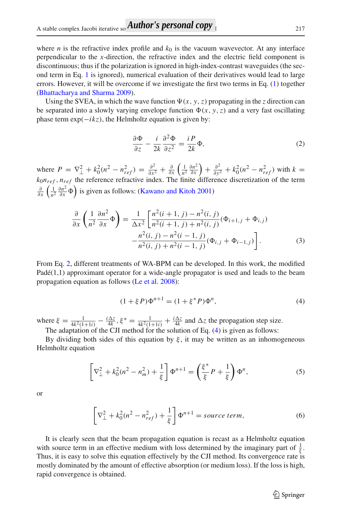where *n* is the refractive index profile and  $k_0$  is the vacuum wavevector. At any interface perpendicular to the *x*-direction, the refractive index and the electric field component is discontinuous; thus if the polarization is ignored in high-index-contrast waveguides (the second term in Eq. [1](#page-2-0) is ignored), numerical evaluation of their derivatives would lead to large errors. However, it will be overcome if we investigate the first two terms in Eq. [\(1\)](#page-2-0) together [\(Bhattacharya and Sharma 2009\)](#page-7-7).

Using the SVEA, in which the wave function  $\Psi(x, y, z)$  propagating in the *z* direction can be separated into a slowly varying envelope function  $\Phi(x, y, z)$  and a very fast oscillating phase term  $exp(-ikz)$ , the Helmholtz equation is given by:

$$
\frac{\partial \Phi}{\partial z} - \frac{i}{2k} \frac{\partial^2 \Phi}{\partial z^2} = \frac{i}{2k} \Phi,
$$
 (2)

<span id="page-3-0"></span>where  $P = \nabla_{\perp}^2 + k_0^2 (n^2 - n_{ref}^2) = \frac{\partial^2}{\partial x^2} + \frac{\partial}{\partial x} \left( \frac{1}{n^2} \frac{\partial n^2}{\partial x} \right) + \frac{\partial^2}{\partial y^2} + k_0^2 (n^2 - n_{ref}^2)$  with  $k =$ *k*0*nref* , *nref* the reference refractive index. The finite difference discretization of the term  $\frac{\partial}{\partial x} \left( \frac{1}{n^2} \frac{\partial n^2}{\partial x} \Phi \right)$  is given as follows: [\(Kawano and Kitoh 2001](#page-7-11))

$$
\frac{\partial}{\partial x} \left( \frac{1}{n^2} \frac{\partial n^2}{\partial x} \Phi \right) = \frac{1}{\Delta x^2} \left[ \frac{n^2 (i+1, j) - n^2 (i, j)}{n^2 (i+1, j) + n^2 (i, j)} (\Phi_{i+1, j} + \Phi_{i, j}) - \frac{n^2 (i, j) - n^2 (i-1, j)}{n^2 (i, j) + n^2 (i-1, j)} (\Phi_{i, j} + \Phi_{i-1, j}) \right].
$$
\n(3)

From Eq. [2,](#page-3-0) different treatments of WA-BPM can be developed. In this work, the modified  $Pad\né(1,1)$  approximant operator for a wide-angle propagator is used and leads to the beam propagation equation as follows [\(Le et al. 2008\)](#page-7-6):

$$
(1 + \xi P)\Phi^{n+1} = (1 + \xi^* P)\Phi^n,
$$
\n(4)

<span id="page-3-1"></span>where  $\xi = \frac{1}{4k^2(1+1i)} - \frac{i\Delta z}{4k}$ ,  $\xi^* = \frac{1}{4k^2(1+1i)} + \frac{i\Delta z}{4k}$  and  $\Delta z$  the propagation step size. The adaptation of the CJI method for the solution of Eq. [\(4\)](#page-3-1) is given as follows:

By dividing both sides of this equation by  $\xi$ , it may be written as an inhomogeneous Helmholtz equation

$$
\left[\nabla_{\perp}^{2} + k_{0}^{2}(n^{2} - n_{m}^{2}) + \frac{1}{\xi}\right]\Phi^{n+1} = \left(\frac{\xi^{*}}{\xi}P + \frac{1}{\xi}\right)\Phi^{n},\tag{5}
$$

or

$$
\left[\nabla_{\perp}^{2} + k_0^{2}(n^2 - n_{ref}^2) + \frac{1}{\xi}\right]\Phi^{n+1} = source \ term,
$$
\n(6)

It is clearly seen that the beam propagation equation is recast as a Helmholtz equation with source term in an effective medium with loss determined by the imaginary part of  $\frac{1}{\xi}$ . Thus, it is easy to solve this equation effectively by the CJI method. Its convergence rate is mostly dominated by the amount of effective absorption (or medium loss). If the loss is high, rapid convergence is obtained.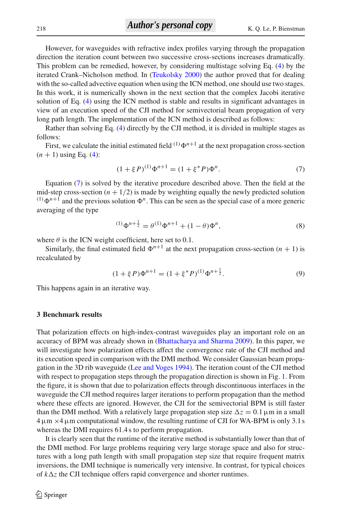However, for waveguides with refractive index profiles varying through the propagation direction the iteration count between two successive cross-sections increases dramatically. This problem can be remedied, however, by considering multistage solving Eq. [\(4\)](#page-3-1) by the iterated Crank–Nicholson method. In [\(Teukolsky 2000](#page-7-9)) the author proved that for dealing with the so-called advective equation when using the ICN method, one should use two stages. In this work, it is numerically shown in the next section that the complex Jacobi iterative solution of Eq. [\(4\)](#page-3-1) using the ICN method is stable and results in significant advantages in view of an execution speed of the CJI method for semivectorial beam propagation of very long path length. The implementation of the ICN method is described as follows:

Rather than solving Eq. [\(4\)](#page-3-1) directly by the CJI method, it is divided in multiple stages as follows:

First, we calculate the initial estimated field  $(1) \Phi^{n+1}$  at the next propagation cross-section  $(n + 1)$  using Eq. [\(4\)](#page-3-1):

$$
(1 + \xi P)^{(1)} \Phi^{n+1} = (1 + \xi^* P) \Phi^n.
$$
 (7)

<span id="page-4-0"></span>Equation [\(7\)](#page-4-0) is solved by the iterative procedure described above. Then the field at the mid-step cross-section  $(n + 1/2)$  is made by weighting equally the newly predicted solution <sup>(1)</sup> $\Phi^{n+1}$  and the previous solution  $\Phi^n$ . This can be seen as the special case of a more generic averaging of the type

$$
^{(1)}\Phi^{n+\frac{1}{2}} = \theta^{(1)}\Phi^{n+1} + (1-\theta)\Phi^n, \tag{8}
$$

where  $\theta$  is the ICN weight coefficient, here set to 0.1.

Similarly, the final estimated field  $\Phi^{n+1}$  at the next propagation cross-section  $(n + 1)$  is recalculated by

$$
(1 + \xi P)\Phi^{n+1} = (1 + \xi^* P)^{(1)}\Phi^{n+\frac{1}{2}}.
$$
\n(9)

<span id="page-4-1"></span>This happens again in an iterative way.

#### **3 Benchmark results**

That polarization effects on high-index-contrast waveguides play an important role on an accuracy of BPM was already shown in [\(Bhattacharya and Sharma 2009](#page-7-7)). In this paper, we will investigate how polarization effects affect the convergence rate of the CJI method and its execution speed in comparison with the DMI method. We consider Gaussian beam propagation in the 3D rib waveguide [\(Lee and Voges 1994](#page-7-2)). The iteration count of the CJI method with respect to propagation steps through the propagation direction is shown in Fig. [1.](#page-5-0) From the figure, it is shown that due to polarization effects through discontinuous interfaces in the waveguide the CJI method requires larger iterations to perform propagation than the method where these effects are ignored. However, the CJI for the semivectorial BPM is still faster than the DMI method. With a relatively large propagation step size  $\Delta z = 0.1 \,\mu \text{m}$  in a small  $4 \mu m \times 4 \mu m$  computational window, the resulting runtime of CJI for WA-BPM is only 3.1 s whereas the DMI requires 61.4 s to perform propagation.

It is clearly seen that the runtime of the iterative method is substantially lower than that of the DMI method. For large problems requiring very large storage space and also for structures with a long path length with small propagation step size that require frequent matrix inversions, the DMI technique is numerically very intensive. In contrast, for typical choices of  $k\Delta z$  the CJI technique offers rapid convergence and shorter runtimes.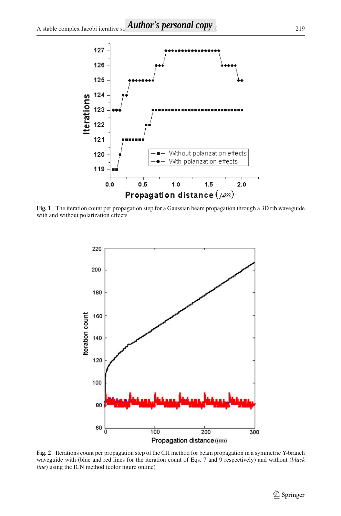

<span id="page-5-0"></span>**Fig. 1** The iteration count per propagation step for a Gaussian beam propagation through a 3D rib waveguide with and without polarization effects



<span id="page-5-1"></span>**Fig. 2** Iterations count per propagation step of the CJI method for beam propagation in a symmetric Y-branch waveguide with (blue and red lines for the iteration count of Eqs. [7](#page-4-0) and [9](#page-4-1) respectively) and without (*black line*) using the ICN method (color figure online)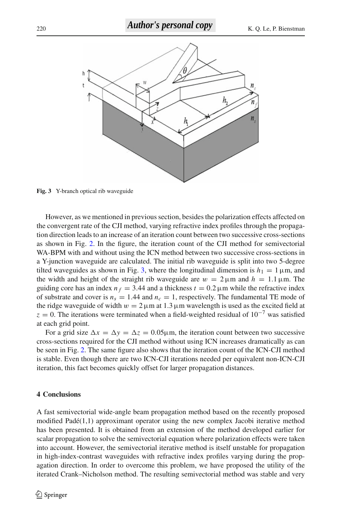

<span id="page-6-0"></span>**Fig. 3** Y-branch optical rib waveguide

However, as we mentioned in previous section, besides the polarization effects affected on the convergent rate of the CJI method, varying refractive index profiles through the propagation direction leads to an increase of an iteration count between two successive cross-sections as shown in Fig. [2.](#page-5-1) In the figure, the iteration count of the CJI method for semivectorial WA-BPM with and without using the ICN method between two successive cross-sections in a Y-junction waveguide are calculated. The initial rib waveguide is split into two 5-degree tilted waveguides as shown in Fig. [3,](#page-6-0) where the longitudinal dimension is  $h_1 = 1 \,\mu$ m, and the width and height of the straight rib waveguide are  $w = 2 \mu m$  and  $h = 1.1 \mu m$ . The guiding core has an index  $n_f = 3.44$  and a thickness  $t = 0.2 \mu m$  while the refractive index of substrate and cover is  $n_s = 1.44$  and  $n_c = 1$ , respectively. The fundamental TE mode of the ridge waveguide of width  $w = 2 \mu m$  at 1.3  $\mu$ m wavelength is used as the excited field at  $z = 0$ . The iterations were terminated when a field-weighted residual of 10<sup>-7</sup> was satisfied at each grid point.

For a grid size  $\Delta x = \Delta y = \Delta z = 0.05 \mu \text{m}$ , the iteration count between two successive cross-sections required for the CJI method without using ICN increases dramatically as can be seen in Fig. [2.](#page-5-1) The same figure also shows that the iteration count of the ICN-CJI method is stable. Even though there are two ICN-CJI iterations needed per equivalent non-ICN-CJI iteration, this fact becomes quickly offset for larger propagation distances.

## **4 Conclusions**

A fast semivectorial wide-angle beam propagation method based on the recently proposed modified Padé(1,1) approximant operator using the new complex Jacobi iterative method has been presented. It is obtained from an extension of the method developed earlier for scalar propagation to solve the semivectorial equation where polarization effects were taken into account. However, the semivectorial iterative method is itself unstable for propagation in high-index-contrast waveguides with refractive index profiles varying during the propagation direction. In order to overcome this problem, we have proposed the utility of the iterated Crank–Nicholson method. The resulting semivectorial method was stable and very